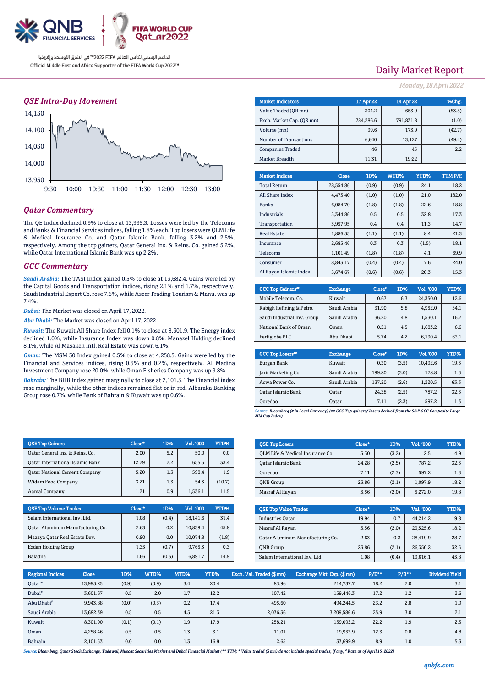

### *QSE Intra-Day Movement*



## *Qatar Commentary*

The QE Index declined 0.9% to close at 13,995.3. Losses were led by the Telecoms and Banks & Financial Services indices, falling 1.8% each. Top losers were QLM Life & Medical Insurance Co. and Qatar Islamic Bank, falling 3.2% and 2.5%, respectively. Among the top gainers, Qatar General Ins. & Reins. Co. gained 5.2%, while Qatar International Islamic Bank was up 2.2%.

### *GCC Commentary*

*Saudi Arabia:* The TASI Index gained 0.5% to close at 13,682.4. Gains were led by the Capital Goods and Transportation indices, rising 2.1% and 1.7%, respectively. Saudi Industrial Export Co.rose 7.6%, while Aseer Trading Tourism & Manu. was up 7.4%.

*Dubai:* The Market was closed on April 17, 2022.

*Abu Dhabi:* The Market was closed on April 17, 2022.

*Kuwait:* The Kuwait All Share Index fell 0.1% to close at 8,301.9. The Energy index declined 1.0%, while Insurance Index was down 0.8%. Manazel Holding declined 8.1%, while Al Masaken Intl. Real Estate was down 6.1%.

*Oman:* The MSM 30 Index gained 0.5% to close at 4,258.5. Gains were led by the Financial and Services indices, rising 0.5% and 0.2%, respectively. Al Madina Investment Company rose 20.0%, while Oman Fisheries Company was up 9.8%.

*Bahrain:* The BHB Index gained marginally to close at 2,101.5. The Financial index rose marginally, while the other indices remained flat or in red. Albaraka Banking Group rose 0.7%, while Bank of Bahrain & Kuwait was up 0.6%.

| <b>OSE Top Gainers</b>                  | Close* | 1D% | <b>Vol. '000</b> | YTD%   |
|-----------------------------------------|--------|-----|------------------|--------|
| Oatar General Ins. & Reins. Co.         | 2.00   | 5.2 | 50.0             | 0.0    |
| <b>Qatar International Islamic Bank</b> | 12.29  | 2.2 | 655.5            | 33.4   |
| <b>Qatar National Cement Company</b>    | 5.20   | 1.3 | 598.4            | 1.9    |
| <b>Widam Food Company</b>               | 3.21   | 1.3 | 54.3             | (10.7) |
| Aamal Company                           | 1.21   | 0.9 | 1,536.1          | 11.5   |

| <b>QSE Top Volume Trades</b>     | Close* | 1D%   | Vol. '000 | YTD%  |
|----------------------------------|--------|-------|-----------|-------|
| Salam International Inv. Ltd.    | 1.08   | (0.4) | 18.141.6  | 31.4  |
| Qatar Aluminum Manufacturing Co. | 2.63   | 0.2   | 10,839.4  | 45.8  |
| Mazaya Qatar Real Estate Dev.    | 0.90   | 0.0   | 10.074.8  | (1.8) |
| Ezdan Holding Group              | 1.35   | (0.7) | 9,765.3   | 0.3   |
| Baladna                          | 1.66   | (0.3) | 6,891.7   | 14.9  |

# Daily Market Report

*Monday, 18 April 2022*

| <b>Market Indicators</b>  |  |           | 17 Apr 22       | 14 Apr 22 |       | %Chg.  |
|---------------------------|--|-----------|-----------------|-----------|-------|--------|
| Value Traded (OR mn)      |  |           | 304.2           |           | 653.9 | (53.5) |
| Exch. Market Cap. (OR mn) |  |           | 784.286.6       | 791.831.8 |       | (1.0)  |
| Volume (mn)               |  |           | 99.6            |           | 173.9 | (42.7) |
| Number of Transactions    |  |           | 6,640<br>13,127 |           |       | (49.4) |
| <b>Companies Traded</b>   |  |           | 46              |           | 45    | 2.2    |
| Market Breadth            |  |           | 11:31           |           | 19:22 |        |
|                           |  |           |                 |           |       |        |
| <b>Market Indices</b>     |  | Close     | 1D%             | WTD%      | YTD%  | TTMP/E |
| <b>Total Return</b>       |  | 28.554.86 | (0.9)           | (0.9)     | 24.1  | 18.2   |

| <b>Total Return</b>    | 28,554.86 | (0.9) | (0.9) | 24.1  | 18.2  |
|------------------------|-----------|-------|-------|-------|-------|
| All Share Index        | 4.473.40  | (1.0) | (1.0) | 21.0  | 182.0 |
| <b>Banks</b>           | 6,084.70  | (1.8) | (1.8) | 22.6  | 18.8  |
| Industrials            | 5.344.86  | 0.5   | 0.5   | 32.8  | 17.3  |
| Transportation         | 3.957.95  | 0.4   | 0.4   | 11.3  | 14.7  |
| <b>Real Estate</b>     | 1.886.55  | (1.1) | (1.1) | 8.4   | 21.3  |
| Insurance              | 2.685.46  | 0.3   | 0.3   | (1.5) | 18.1  |
| Telecoms               | 1.101.49  | (1.8) | (1.8) | 4.1   | 69.9  |
| Consumer               | 8.843.17  | (0.4) | (0.4) | 7.6   | 24.0  |
| Al Ravan Islamic Index | 5.674.67  | (0.6) | (0.6) | 20.3  | 15.3  |

| <b>GCC Top Gainers</b> "    | <b>Exchange</b> | Close* | 1D% | Vol. '000 | YTD% |
|-----------------------------|-----------------|--------|-----|-----------|------|
| Mobile Telecom. Co.         | Kuwait          | 0.67   | 6.3 | 24.350.0  | 12.6 |
| Rabigh Refining & Petro.    | Saudi Arabia    | 31.90  | 5.8 | 4.952.0   | 54.1 |
| Saudi Industrial Inv. Group | Saudi Arabia    | 36.20  | 4.8 | 1,530.1   | 16.2 |
| National Bank of Oman       | Oman            | 0.21   | 4.5 | 1,683.2   | 6.6  |
| Fertiglobe PLC              | Abu Dhabi       | 5.74   | 4.2 | 6,190.4   | 63.1 |

| <b>GCC Top Losers</b> "   | <b>Exchange</b> | Close <sup>®</sup> | 1D%   | Vol. '000 | YTD% |
|---------------------------|-----------------|--------------------|-------|-----------|------|
| Burgan Bank               | Kuwait          | 0.30               | (3.5) | 10.492.6  | 19.5 |
| Jarir Marketing Co.       | Saudi Arabia    | 199.80             | (3.0) | 178.8     | 1.5  |
| Acwa Power Co.            | Saudi Arabia    | 137.20             | (2.6) | 1,220.5   | 63.3 |
| <b>Oatar Islamic Bank</b> | <b>Oatar</b>    | 24.28              | (2.5) | 787.2     | 32.5 |
| Ooredoo                   | Oatar           | 7.11               | (2.3) | 597.2     | 1.3  |

*Source: Bloomberg (# in Local Currency) (## GCC Top gainers/ losers derived from the S&P GCC Composite Large Mid Cap Index)*

| <b>OSE Top Losers</b>            | Close* | 1D%   | Vol. '000 | YTD% |
|----------------------------------|--------|-------|-----------|------|
| OLM Life & Medical Insurance Co. | 5.30   | (3.2) | 2.5       | 4.9  |
| Qatar Islamic Bank               | 24.28  | (2.5) | 787.2     | 32.5 |
| Ooredoo                          | 7.11   | (2.3) | 597.2     | 1.3  |
| <b>ONB</b> Group                 | 23.86  | (2.1) | 1.097.9   | 18.2 |
| Masraf Al Rayan                  | 5.56   | (2.0) | 5.272.0   | 19.8 |

| <b>QSE Top Value Trades</b>      | Close* | 1D%   | Val. '000 | YTD% |
|----------------------------------|--------|-------|-----------|------|
| <b>Industries Oatar</b>          | 19.94  | 0.7   | 44.214.2  | 19.8 |
| Masraf Al Rayan                  | 5.56   | (2.0) | 29.525.6  | 18.2 |
| Oatar Aluminum Manufacturing Co. | 2.63   | 0.2   | 28,419.9  | 28.7 |
| <b>ONB</b> Group                 | 23.86  | (2.1) | 26.350.2  | 32.5 |
| Salam International Inv. Ltd.    | 1.08   | (0.4) | 19.616.1  | 45.8 |

| <b>Regional Indices</b> | <b>Close</b> | 1D%   | WTD%  | MTD% | YTD% | Exch. Val. Traded (\$mn) | Exchange Mkt. Cap. (\$ mn) | P/E** | $P/B***$ | Dividend Yield |
|-------------------------|--------------|-------|-------|------|------|--------------------------|----------------------------|-------|----------|----------------|
| Oatar*                  | 13,995.25    | (0.9) | (0.9) | 3.4  | 20.4 | 83.96                    | 214.737.7                  | 18.2  | 2.0      | 3.1            |
| Dubai <sup>#</sup>      | 3.601.67     | 0.5   | 2.0   | 1.7  | 12.2 | 107.42                   | 159,446.3                  | 17.2  | 1.2      | 2.6            |
| Abu Dhabi <sup>#</sup>  | 9,943.88     | (0.0) | (0.3) | 0.2  | 17.4 | 495.60                   | 494,244.5                  | 23.2  | 2.8      | 1.9            |
| Saudi Arabia            | 13.682.39    | 0.5   | 0.5   | 4.5  | 21.3 | 2,036.36                 | 3,209,586.6                | 25.9  | 3.0      | 2.1            |
| Kuwait                  | 8.301.90     | (0.1) | (0.1) | 1.9  | 17.9 | 258.21                   | 159.092.2                  | 22.2  | 1.9      | 2.3            |
| Oman                    | 4.258.46     | 0.5   | 0.5   | 1.3  | 3.1  | 11.01                    | 19.953.9                   | 12.3  | 0.8      | 4.8            |
| Bahrain                 | 2.101.53     | 0.0   | 0.0   | 1.3  | 16.9 | 2.65                     | 33.699.9                   | 8.9   | 1.0      | 5.3            |

*Source: Bloomberg, Qatar Stock Exchange, Tadawul, Muscat Securities Market and Dubai Financial Market (\*\* TTM; \* Value traded (\$ mn) do not include special trades, if any, # Data as of April 15, 2022)*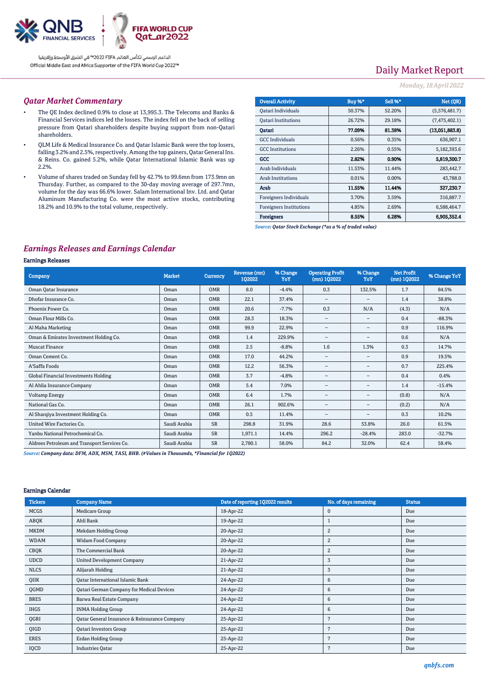

# Daily Market Report

### *Monday, 18 April 2022*

#### *Qatar Market Commentary*

- The QE Index declined 0.9% to close at 13,995.3. The Telecoms and Banks & Financial Services indices led the losses. The index fell on the back of selling pressure from Qatari shareholders despite buying support from non-Qatari shareholders.
- QLM Life & Medical Insurance Co. and Qatar Islamic Bank were the top losers, falling 3.2% and 2.5%, respectively. Among the top gainers, Qatar General Ins. & Reins. Co. gained 5.2%, while Qatar International Islamic Bank was up 2.2%.
- Volume of shares traded on Sunday fell by 42.7% to 99.6mn from 173.9mn on Thursday. Further, as compared to the 30-day moving average of 297.7mn, volume for the day was 66.6% lower. Salam International Inv. Ltd. and Qatar Aluminum Manufacturing Co. were the most active stocks, contributing 18.2% and 10.9% to the total volume, respectively.

| <b>Overall Activity</b>        | Buy %* | Sell %* | Net (OR)       |
|--------------------------------|--------|---------|----------------|
|                                |        |         |                |
| Qatari Individuals             | 50.37% | 52.20%  | (5,576,481.7)  |
| <b>Oatari Institutions</b>     | 26.72% | 29.18%  | (7,475,402.1)  |
| Oatari                         | 77.09% | 81.38%  | (13,051,883.8) |
| <b>GCC</b> Individuals         | 0.56%  | 0.35%   | 636,907.1      |
| <b>GCC</b> Institutions        | 2.26%  | 0.55%   | 5,182,393.6    |
| GCC                            | 2.82%  | 0.90%   | 5,819,300.7    |
| Arab Individuals               | 11.53% | 11.44%  | 283,442.7      |
| <b>Arab Institutions</b>       | 0.01%  | 0.00%   | 43,788.0       |
| Arab                           | 11.55% | 11.44%  | 327,230.7      |
| Foreigners Individuals         | 3.70%  | 3.59%   | 316,887.7      |
| <b>Foreigners Institutions</b> | 4.85%  | 2.69%   | 6,588,464.7    |
| <b>Foreigners</b>              | 8.55%  | 6.28%   | 6.905.352.4    |

*Source: Qatar Stock Exchange (\*as a % of traded value)*

## *Earnings Releases and Earnings Calendar*

### Earnings Releases

| <b>Company</b>                               | <b>Market</b> | <b>Currency</b> | Revenue (mn)<br>102022 | % Change<br>YoY | <b>Operating Profit</b><br>$(mn)$ 102022 | % Change<br>YoY          | <b>Net Profit</b><br>$(mn)$ 102022 | % Change YoY |
|----------------------------------------------|---------------|-----------------|------------------------|-----------------|------------------------------------------|--------------------------|------------------------------------|--------------|
| Oman Qatar Insurance                         | Oman          | <b>OMR</b>      | 8.0                    | $-4.4%$         | 0.3                                      | 132.5%                   | 1.7                                | 84.5%        |
| Dhofar Insurance Co.                         | Oman          | <b>OMR</b>      | 22.1                   | 37.4%           | $\qquad \qquad -$                        | $\overline{\phantom{0}}$ | 1.4                                | 38.8%        |
| Phoenix Power Co.                            | Oman          | <b>OMR</b>      | 20.6                   | $-7.7%$         | 0.3                                      | N/A                      | (4.3)                              | N/A          |
| Oman Flour Mills Co.                         | Oman          | <b>OMR</b>      | 28.3                   | 18.3%           | $\qquad \qquad -$                        | $\qquad \qquad =$        | 0.4                                | $-88.3%$     |
| Al Maha Marketing                            | Oman          | <b>OMR</b>      | 99.9                   | 22.9%           | $\qquad \qquad -$                        | $\qquad \qquad =$        | 0.9                                | 116.9%       |
| Oman & Emirates Investment Holding Co.       | Oman          | <b>OMR</b>      | 1.4                    | 229.9%          | $\qquad \qquad -$                        | $\overline{\phantom{0}}$ | 0.6                                | N/A          |
| <b>Muscat Finance</b>                        | Oman          | <b>OMR</b>      | 2.5                    | $-8.8%$         | 1.6                                      | 1.3%                     | 0.3                                | 14.7%        |
| Oman Cement Co.                              | Oman          | <b>OMR</b>      | 17.0                   | 44.2%           | $\qquad \qquad -$                        | $\qquad \qquad =$        | 0.9                                | 19.5%        |
| A'Saffa Foods                                | Oman          | <b>OMR</b>      | 12.2                   | 56.3%           | $\qquad \qquad -$                        | $\qquad \qquad =$        | 0.7                                | 225.4%       |
| Global Financial Investments Holding         | Oman          | <b>OMR</b>      | 3.7                    | $-4.8%$         | $\overline{\phantom{m}}$                 | $\overline{\phantom{0}}$ | 0.4                                | 0.4%         |
| Al Ahlia Insurance Company                   | Oman          | <b>OMR</b>      | 5.4                    | 7.0%            | $\qquad \qquad -$                        | -                        | 1.4                                | $-15.4%$     |
| <b>Voltamp Energy</b>                        | Oman          | <b>OMR</b>      | 6.4                    | 1.7%            | $\qquad \qquad -$                        | -                        | (0.8)                              | N/A          |
| National Gas Co.                             | Oman          | <b>OMR</b>      | 26.1                   | 902.6%          | $\qquad \qquad -$                        | -                        | (0.2)                              | N/A          |
| Al Sharqiya Investment Holding Co.           | Oman          | <b>OMR</b>      | 0.5                    | 11.4%           | $\qquad \qquad -$                        | -                        | 0.3                                | 10.2%        |
| United Wire Factories Co.                    | Saudi Arabia  | <b>SR</b>       | 298.8                  | 31.9%           | 28.6                                     | 53.8%                    | 26.0                               | 61.5%        |
| Yanbu National Petrochemical Co.             | Saudi Arabia  | <b>SR</b>       | 1,971.1                | 14.4%           | 296.2                                    | $-28.4%$                 | 283.0                              | $-32.7%$     |
| Aldrees Petroleum and Transport Services Co. | Saudi Arabia  | <b>SR</b>       | 2,780.1                | 58.0%           | 84.2                                     | 32.0%                    | 62.4                               | 58.4%        |

*Source: Company data: DFM, ADX, MSM, TASI, BHB. (#Values in Thousands, \*Financial for 1Q2022)*

#### Earnings Calendar

| <b>Tickers</b> | <b>Company Name</b>                           | Date of reporting 1Q2022 results | No. of days remaining | <b>Status</b> |
|----------------|-----------------------------------------------|----------------------------------|-----------------------|---------------|
| <b>MCGS</b>    | Medicare Group                                | 18-Apr-22                        | $\mathbf 0$           | Due           |
| ABQK           | Ahli Bank                                     | 19-Apr-22                        |                       | Due           |
| <b>MKDM</b>    | Mekdam Holding Group                          | 20-Apr-22                        | $\overline{c}$        | Due           |
| <b>WDAM</b>    | Widam Food Company                            | 20-Apr-22                        | $\overline{c}$        | Due           |
| CBQK           | The Commercial Bank                           | 20-Apr-22                        | 2                     | Due           |
| <b>UDCD</b>    | United Development Company                    | 21-Apr-22                        | 3                     | Due           |
| <b>NLCS</b>    | Alijarah Holding                              | 21-Apr-22                        | 3                     | Due           |
| QIIK           | <b>Qatar International Islamic Bank</b>       | 24-Apr-22                        | 6                     | Due           |
| QGMD           | Qatari German Company for Medical Devices     | 24-Apr-22                        | 6                     | Due           |
| <b>BRES</b>    | Barwa Real Estate Company                     | 24-Apr-22                        | 6                     | Due           |
| <b>IHGS</b>    | <b>INMA Holding Group</b>                     | 24-Apr-22                        | 6                     | Due           |
| QGRI           | Qatar General Insurance & Reinsurance Company | 25-Apr-22                        | 7                     | Due           |
| QIGD           | Qatari Investors Group                        | 25-Apr-22                        | 7                     | Due           |
| <b>ERES</b>    | Ezdan Holding Group                           | 25-Apr-22                        | 7                     | Due           |
| IQCD           | <b>Industries Qatar</b>                       | 25-Apr-22                        | 7                     | Due           |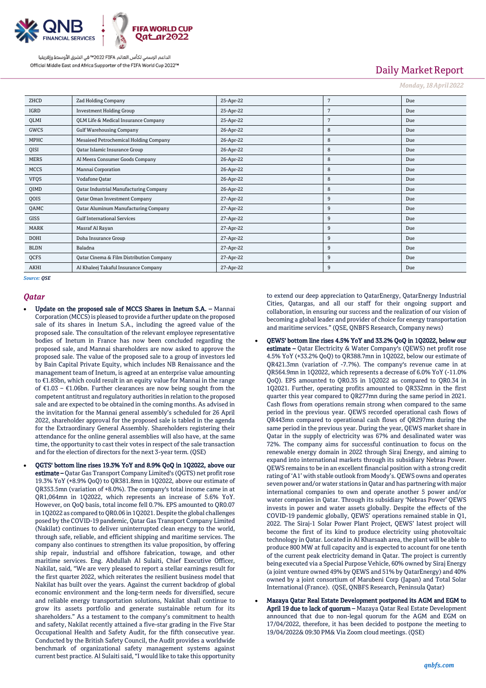

# Daily Market Report

*Monday, 18 April 2022*

| ZHCD        | <b>Zad Holding Company</b>                    | 25-Apr-22 | 7 | Due |
|-------------|-----------------------------------------------|-----------|---|-----|
| IGRD        | <b>Investment Holding Group</b>               | 25-Apr-22 | 7 | Due |
| QLMI        | QLM Life & Medical Insurance Company          | 25-Apr-22 | 7 | Due |
| GWCS        | <b>Gulf Warehousing Company</b>               | 26-Apr-22 | 8 | Due |
| MPHC        | Mesaieed Petrochemical Holding Company        | 26-Apr-22 | 8 | Due |
| QISI        | Qatar Islamic Insurance Group                 | 26-Apr-22 | 8 | Due |
| <b>MERS</b> | Al Meera Consumer Goods Company               | 26-Apr-22 | 8 | Due |
| <b>MCCS</b> | Mannai Corporation                            | 26-Apr-22 | 8 | Due |
| <b>VFQS</b> | Vodafone Qatar                                | 26-Apr-22 | 8 | Due |
| QIMD        | <b>Qatar Industrial Manufacturing Company</b> | 26-Apr-22 | 8 | Due |
| QOIS        | Qatar Oman Investment Company                 | 27-Apr-22 | 9 | Due |
| QAMC        | <b>Qatar Aluminum Manufacturing Company</b>   | 27-Apr-22 | 9 | Due |
| GISS        | <b>Gulf International Services</b>            | 27-Apr-22 | 9 | Due |
| MARK        | Masraf Al Rayan                               | 27-Apr-22 | 9 | Due |
| <b>DOHI</b> | Doha Insurance Group                          | 27-Apr-22 | 9 | Due |
| <b>BLDN</b> | Baladna                                       | 27-Apr-22 | 9 | Due |
| QCFS        | Qatar Cinema & Film Distribution Company      | 27-Apr-22 | 9 | Due |
| <b>AKHI</b> | Al Khaleej Takaful Insurance Company          | 27-Apr-22 | 9 | Due |

*Source: QSE*

#### *Qatar*

- Update on the proposed sale of MCCS Shares in Inetum S.A. Mannai Corporation (MCCS) is pleased to provide a further update on the proposed sale of its shares in Inetum S.A., including the agreed value of the proposed sale. The consultation of the relevant employee representative bodies of Inetum in France has now been concluded regarding the proposed sale, and Mannai shareholders are now asked to approve the proposed sale. The value of the proposed sale to a group of investors led by Bain Capital Private Equity, which includes NB Renaissance and the management team of Inetum, is agreed at an enterprise value amounting to €1.85bn, which could result in an equity value for Mannai in the range of €1.03 – €1.06bn. Further clearances are now being sought from the competent antitrust and regulatory authorities in relation to the proposed sale and are expected to be obtained in the coming months. As advised in the invitation for the Mannai general assembly's scheduled for 26 April 2022, shareholder approval for the proposed sale is tabled in the agenda for the Extraordinary General Assembly. Shareholders registering their attendance for the online general assemblies will also have, at the same time, the opportunity to cast their votes in respect of the sale transaction and for the election of directors for the next 3-year term. (QSE)
- QGTS' bottom line rises 19.3% YoY and 8.9% QoQ in 1Q2022, above our estimate – Qatar Gas Transport Company Limited's (QGTS) net profit rose 19.3% YoY (+8.9% QoQ) to QR381.8mn in 1Q2022, above our estimate of QR353.5mn (variation of +8.0%). The company's total income came in at QR1,064mn in 1Q2022, which represents an increase of 5.6% YoY. However, on QoQ basis, total income fell 0.7%. EPS amounted to QR0.07 in 1Q2022 as compared to QR0.06 in 1Q2021. Despite the global challenges posed by the COVID-19 pandemic, Qatar Gas Transport Company Limited (Nakilat) continues to deliver uninterrupted clean energy to the world, through safe, reliable, and efficient shipping and maritime services. The company also continues to strengthen its value proposition, by offering ship repair, industrial and offshore fabrication, towage, and other maritime services. Eng. Abdullah Al Sulaiti, Chief Executive Officer, Nakilat, said, "We are very pleased to report a stellar earnings result for the first quarter 2022, which reiterates the resilient business model that Nakilat has built over the years. Against the current backdrop of global economic environment and the long-term needs for diversified, secure and reliable energy transportation solutions, Nakilat shall continue to grow its assets portfolio and generate sustainable return for its shareholders." As a testament to the company's commitment to health and safety, Nakilat recently attained a five-star grading in the Five Star Occupational Health and Safety Audit, for the fifth consecutive year. Conducted by the British Safety Council, the Audit provides a worldwide benchmark of organizational safety management systems against current best practice. Al Sulaiti said, "I would like to take this opportunity

to extend our deep appreciation to QatarEnergy, QatarEnergy Industrial Cities, Qatargas, and all our staff for their ongoing support and collaboration, in ensuring our success and the realization of our vision of becoming a global leader and provider of choice for energy transportation and maritime services." (QSE, QNBFS Research, Company news)

- QEWS' bottom line rises 4.5% YoY and 33.2% QoQ in 1Q2022, below our estimate – Qatar Electricity & Water Company's (QEWS) net profit rose 4.5% YoY (+33.2% QoQ) to QR388.7mn in 1Q2022, below our estimate of QR421.3mn (variation of -7.7%). The company's revenue came in at QR564.9mn in 1Q2022, which represents a decrease of 6.0% YoY (-11.0% QoQ). EPS amounted to QR0.35 in 1Q2022 as compared to QR0.34 in 1Q2021. Further, operating profits amounted to QR332mn in the first quarter this year compared to QR277mn during the same period in 2021. Cash flows from operations remain strong when compared to the same period in the previous year. QEWS recorded operational cash flows of QR443mn compared to operational cash flows of QR297mn during the same period in the previous year. During the year, QEWS market share in Qatar in the supply of electricity was 67% and desalinated water was 72%. The company aims for successful continuation to focus on the renewable energy domain in 2022 through Siraj Energy, and aiming to expand into international markets through its subsidiary Nebras Power. QEWS remains to be in an excellent financial position with a strong credit rating of 'A1' with stable outlook from Moody's. QEWS owns and operates seven power and/or water stations in Qatar and has partnering with major international companies to own and operate another 5 power and/or water companies in Qatar. Through its subsidiary 'Nebras Power' QEWS invests in power and water assets globally. Despite the effects of the COVID-19 pandemic globally, QEWS' operations remained stable in Q1, 2022. The Siraj-1 Solar Power Plant Project, QEWS' latest project will become the first of its kind to produce electricity using photovoltaic technology in Qatar. Located in Al Kharsaah area, the plant will be able to produce 800 MW at full capacity and is expected to account for one tenth of the current peak electricity demand in Qatar. The project is currently being executed via a Special Purpose Vehicle, 60% owned by Siraj Energy (a joint venture owned 49% by QEWS and 51% by QatarEnergy) and 40% owned by a joint consortium of Marubeni Corp (Japan) and Total Solar International (France). (QSE, QNBFS Research, Peninsula Qatar)
- Mazaya Qatar Real Estate Development postponed its AGM and EGM to April 19 due to lack of quorum - Mazaya Qatar Real Estate Development announced that due to non-legal quorum for the AGM and EGM on 17/04/2022, therefore, it has been decided to postpone the meeting to 19/04/2022& 09:30 PM& Via Zoom cloud meetings. (QSE)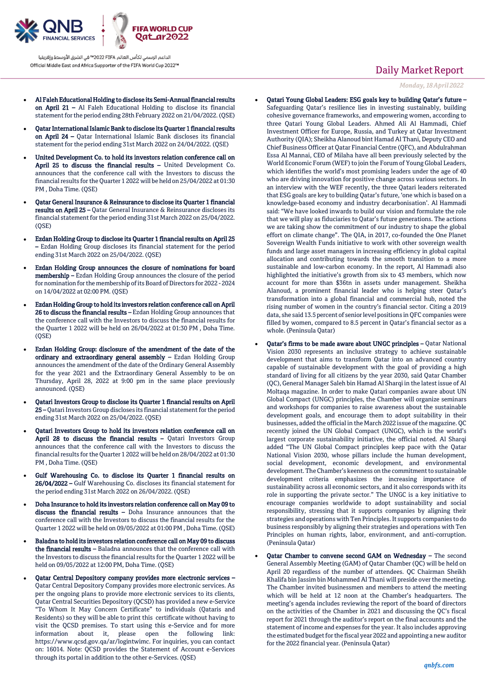

- Al Faleh Educational Holding to disclose its Semi-Annual financial results on April 21 – Al Faleh Educational Holding to disclose its financial statement for the period ending 28th February 2022 on 21/04/2022. (QSE)
- Qatar International Islamic Bank to disclose its Quarter 1 financial results on April 24 – Qatar International Islamic Bank discloses its financial statement for the period ending 31st March 2022 on 24/04/2022. (QSE)
- United Development Co. to hold its investors relation conference call on April 25 to discuss the financial results – United Development Co. announces that the conference call with the Investors to discuss the financial results for the Quarter 1 2022 will be held on 25/04/2022 at 01:30 PM , Doha Time. (QSE)
- Qatar General Insurance & Reinsurance to disclose its Quarter 1 financial results on April 25 – Qatar General Insurance & Reinsurance discloses its financial statement for the period ending 31st March 2022 on 25/04/2022.  $(OSE)$
- Ezdan Holding Group to disclose its Quarter 1 financial results on April 25 – Ezdan Holding Group discloses its financial statement for the period ending 31st March 2022 on 25/04/2022. (QSE)
- Ezdan Holding Group announces the closure of nominations for board membership – Ezdan Holding Group announces the closure of the period for nomination for the membership of its Board of Directors for 2022 - 2024 on 14/04/2022 at 02:00 PM. (QSE)
- Ezdan Holding Group to hold its investors relation conference call on April 26 to discuss the financial results – Ezdan Holding Group announces that the conference call with the Investors to discuss the financial results for the Quarter 1 2022 will be held on 26/04/2022 at 01:30 PM , Doha Time. (QSE)
- Ezdan Holding Group: disclosure of the amendment of the date of the ordinary and extraordinary general assembly - Ezdan Holding Group announces the amendment of the date of the Ordinary General Assembly for the year 2021 and the Extraordinary General Assembly to be on Thursday, April 28, 2022 at 9:00 pm in the same place previously announced. (QSE)
- Qatari Investors Group to disclose its Quarter 1 financial results on April 25 – Qatari Investors Group discloses its financial statement for the period ending 31st March 2022 on 25/04/2022. (QSE)
- Qatari Investors Group to hold its investors relation conference call on April 28 to discuss the financial results - Qatari Investors Group announces that the conference call with the Investors to discuss the financial results for the Quarter 1 2022 will be held on 28/04/2022 at 01:30 PM , Doha Time. (QSE)
- Gulf Warehousing Co. to disclose its Quarter 1 financial results on 26/04/2022 – Gulf Warehousing Co. discloses its financial statement for the period ending 31st March 2022 on 26/04/2022. (QSE)
- Doha Insurance to hold its investors relation conference call on May 09 to discuss the financial results – Doha Insurance announces that the conference call with the Investors to discuss the financial results for the Quarter 1 2022 will be held on 09/05/2022 at 01:00 PM , Doha Time. (QSE)
- Baladna to hold its investors relation conference call on May 09 to discuss the financial results – Baladna announces that the conference call with the Investors to discuss the financial results for the Quarter 1 2022 will be held on 09/05/2022 at 12:00 PM, Doha Time. (QSE)
- Qatar Central Depository company provides more electronic services Qatar Central Depository Company provides more electronic services. As per the ongoing plans to provide more electronic services to its clients, Qatar Central Securities Depository (QCSD) has provided a new e-Service "To Whom It May Concern Certificate" to individuals (Qataris and Residents) so they will be able to print this certificate without having to visit the QCSD premises. To start using this e-Service and for more information about it, please open the following link: https://www.qcsd.gov.qa/ar/logintwimc. For inquiries, you can contact on: 16014. Note: QCSD provides the Statement of Account e-Services through its portal in addition to the other e-Services. (QSE)

# Daily Market Report

*Monday, 18 April 2022*

- Qatari Young Global Leaders: ESG goals key to building Qatar's future Safeguarding Qatar's resilience lies in investing sustainably, building cohesive governance frameworks, and empowering women, according to three Qatari Young Global Leaders. Ahmed Ali Al Hammadi, Chief Investment Officer for Europe, Russia, and Turkey at Qatar Investment Authority (QIA); Sheikha Alanoud bint Hamad Al Thani, Deputy CEO and Chief Business Officer at Qatar Financial Centre (QFC), and Abdulrahman Essa Al Mannai, CEO of Milaha have all been previously selected by the World Economic Forum (WEF) to join the Forum of Young Global Leaders, which identifies the world's most promising leaders under the age of 40 who are driving innovation for positive change across various sectors. In an interview with the WEF recently, the three Qatari leaders reiterated that ESG goals are key to building Qatar's future, 'one which is based on a knowledge-based economy and industry decarbonisation'. Al Hammadi said: "We have looked inwards to build our vision and formulate the role that we will play as fiduciaries to Qatar's future generations. The actions we are taking show the commitment of our industry to shape the global effort on climate change". The QIA, in 2017, co-founded the One Planet Sovereign Wealth Funds initiative to work with other sovereign wealth funds and large asset managers in increasing efficiency in global capital allocation and contributing towards the smooth transition to a more sustainable and low-carbon economy. In the report, Al Hammadi also highlighted the initiative's growth from six to 43 members, which now account for more than \$36tn in assets under management. Sheikha Alanoud, a prominent financial leader who is helping steer Qatar's transformation into a global financial and commercial hub, noted the rising number of women in the country's financial sector. Citing a 2019 data, she said 13.5 percent of senior level positions in QFC companies were filled by women, compared to 8.5 percent in Qatar's financial sector as a whole. (Peninsula Qatar)
- Qatar's firms to be made aware about UNGC principles Qatar National Vision 2030 represents an inclusive strategy to achieve sustainable development that aims to transform Qatar into an advanced country capable of sustainable development with the goal of providing a high standard of living for all citizens by the year 2030, said Qatar Chamber (QC), General Manager Saleh bin Hamad Al Sharqi in the latest issue of Al Moltaqa magazine. In order to make Qatari companies aware about UN Global Compact (UNGC) principles, the Chamber will organize seminars and workshops for companies to raise awareness about the sustainable development goals, and encourage them to adopt suitability in their businesses, added the official in the March 2022 issue of the magazine. QC recently joined the UN Global Compact (UNGC), which is the world's largest corporate sustainability initiative, the official noted. Al Sharqi added "The UN Global Compact principles keep pace with the Qatar National Vision 2030, whose pillars include the human development, social development, economic development, and environmental development. The Chamber's keenness on the commitment to sustainable development criteria emphasizes the increasing importance of sustainability across all economic sectors, and it also corresponds with its role in supporting the private sector." The UNGC is a key initiative to encourage companies worldwide to adopt sustainability and social responsibility, stressing that it supports companies by aligning their strategies and operations with Ten Principles. It supports companies to do business responsibly by aligning their strategies and operations with Ten Principles on human rights, labor, environment, and anti-corruption. (Peninsula Qatar)
- Qatar Chamber to convene second GAM on Wednesday The second General Assembly Meeting (GAM) of Qatar Chamber (QC) will be held on April 20 regardless of the number of attendees. QC Chairman Sheikh Khalifa bin Jassim bin Mohammed Al Thani will preside over the meeting. The Chamber invited businessmen and members to attend the meeting which will be held at 12 noon at the Chamber's headquarters. The meeting's agenda includes reviewing the report of the board of directors on the activities of the Chamber in 2021 and discussing the QC's fiscal report for 2021 through the auditor's report on the final accounts and the statement of income and expenses for the year. It also includes approving the estimated budget for the fiscal year 2022 and appointing a new auditor for the 2022 financial year. (Peninsula Qatar)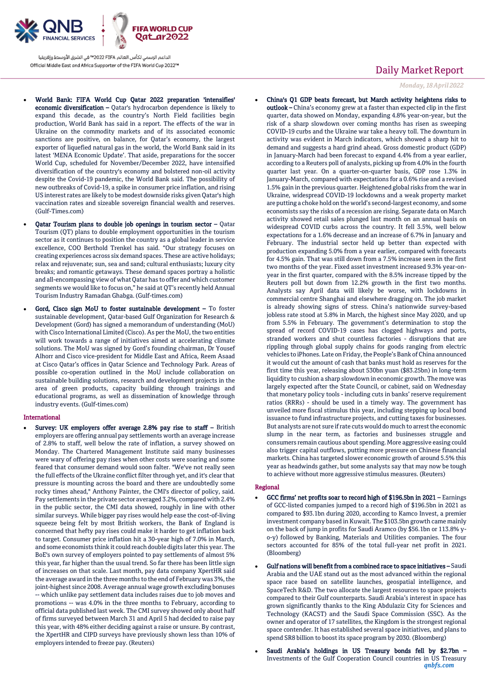

- World Bank: FIFA World Cup Qatar 2022 preparation 'intensifies' economic diversification – Qatar's hydrocarbon dependence is likely to expand this decade, as the country's North Field facilities begin production, World Bank has said in a report. The effects of the war in Ukraine on the commodity markets and of its associated economic sanctions are positive, on balance, for Qatar's economy, the largest exporter of liquefied natural gas in the world, the World Bank said in its latest 'MENA Economic Update'. That aside, preparations for the soccer World Cup, scheduled for November/December 2022, have intensified diversification of the country's economy and bolstered non-oil activity despite the Covid-19 pandemic, the World Bank said. The possibility of new outbreaks of Covid-19, a spike in consumer price inflation, and rising US interest rates are likely to be modest downside risks given Qatar's high vaccination rates and sizeable sovereign financial wealth and reserves. (Gulf-Times.com)
- Qatar Tourism plans to double job openings in tourism sector Qatar Tourism (QT) plans to double employment opportunities in the tourism sector as it continues to position the country as a global leader in service excellence, COO Berthold Trenkel has said. "Our strategy focuses on creating experiences across six demand spaces. These are active holidays; relax and rejuvenate; sun, sea and sand; cultural enthusiasts; luxury city breaks; and romantic getaways. These demand spaces portray a holistic and all-encompassing view of what Qatar has to offer and which customer segments we would like to focus on," he said at QT's recently held Annual Tourism Industry Ramadan Ghabga. (Gulf-times.com)
- Gord, Cisco sign MoU to foster sustainable development To foster sustainable development, Qatar-based Gulf Organization for Research & Development (Gord) has signed a memorandum of understanding (MoU) with Cisco International Limited (Cisco). As per the MoU, the two entities will work towards a range of initiatives aimed at accelerating climate solutions. The MoU was signed by Gord's founding chairman, Dr Yousef Alhorr and Cisco vice-president for Middle East and Africa, Reem Asaad at Cisco Qatar's offices in Qatar Science and Technology Park. Areas of possible co-operation outlined in the MoU include collaboration on sustainable building solutions, research and development projects in the area of green products, capacity building through trainings and educational programs, as well as dissemination of knowledge through industry events. (Gulf-times.com)

#### International

 Survey: UK employers offer average 2.8% pay rise to staff – British employers are offering annual pay settlements worth an average increase of 2.8% to staff, well below the rate of inflation, a survey showed on Monday. The Chartered Management Institute said many businesses were wary of offering pay rises when other costs were soaring and some feared that consumer demand would soon falter. "We've not really seen the full effects of the Ukraine conflict filter through yet, and it's clear that pressure is mounting across the board and there are undoubtedly some rocky times ahead," Anthony Painter, the CMI's director of policy, said. Pay settlements in the private sector averaged 3.2%, compared with 2.4% in the public sector, the CMI data showed, roughly in line with other similar surveys. While bigger pay rises would help ease the cost-of-living squeeze being felt by most British workers, the Bank of England is concerned that hefty pay rises could make it harder to get inflation back to target. Consumer price inflation hit a 30-year high of 7.0% in March, and some economists think it could reach double digits later this year. The BoE's own survey of employers pointed to pay settlements of almost 5% this year, far higher than the usual trend. So far there has been little sign of increases on that scale. Last month, pay data company XpertHR said the average award in the three months to the end of February was 3%, the joint-highest since 2008. Average annual wage growth excluding bonuses -- which unlike pay settlement data includes raises due to job moves and promotions -- was 4.0% in the three months to February, according to official data published last week. The CMI survey showed only about half of firms surveyed between March 31 and April 5 had decided to raise pay this year, with 48% either deciding against a raise or unsure. By contrast, the XpertHR and CIPD surveys have previously shown less than 10% of employers intended to freeze pay. (Reuters)

## Daily Market Report

*Monday, 18 April 2022*

 China's Q1 GDP beats forecast, but March activity heightens risks to outlook – China's economy grew at a faster than expected clip in the first quarter, data showed on Monday, expanding 4.8% year-on-year, but the risk of a sharp slowdown over coming months has risen as sweeping COVID-19 curbs and the Ukraine war take a heavy toll. The downturn in activity was evident in March indicators, which showed a sharp hit to demand and suggests a hard grind ahead. Gross domestic product (GDP) in January-March had been forecast to expand 4.4% from a year earlier, according to a Reuters poll of analysts, picking up from 4.0% in the fourth quarter last year. On a quarter-on-quarter basis, GDP rose 1.3% in January-March, compared with expectations for a 0.6% rise and a revised 1.5% gain in the previous quarter. Heightened global risks from the war in Ukraine, widespread COVID-19 lockdowns and a weak property market are putting a choke hold on the world's second-largest economy, and some economists say the risks of a recession are rising. Separate data on March activity showed retail sales plunged last month on an annual basis on widespread COVID curbs across the country. It fell 3.5%, well below expectations for a 1.6% decrease and an increase of 6.7% in January and February. The industrial sector held up better than expected with production expanding 5.0% from a year earlier, compared with forecasts for 4.5% gain. That was still down from a 7.5% increase seen in the first two months of the year. Fixed asset investment increased 9.3% year-onyear in the first quarter, compared with the 8.5% increase tipped by the Reuters poll but down from 12.2% growth in the first two months. Analysts say April data will likely be worse, with lockdowns in commercial centre Shanghai and elsewhere dragging on. The job market is already showing signs of stress. China's nationwide survey-based jobless rate stood at 5.8% in March, the highest since May 2020, and up from 5.5% in February. The government's determination to stop the spread of record COVID-19 cases has clogged highways and ports, stranded workers and shut countless factories - disruptions that are rippling through global supply chains for goods ranging from electric vehicles to iPhones. Late on Friday, the People's Bank of China announced it would cut the amount of cash that banks must hold as reserves for the first time this year, releasing about 530bn yuan (\$83.25bn) in long-term liquidity to cushion a sharp slowdown in economic growth. The move was largely expected after the State Council, or cabinet, said on Wednesday that monetary policy tools - including cuts in banks' reserve requirement ratios (RRRs) - should be used in a timely way. The government has unveiled more fiscal stimulus this year, including stepping up local bond issuance to fund infrastructure projects, and cutting taxes for businesses. But analysts are not sure if rate cuts would do much to arrest the economic slump in the near term, as factories and businesses struggle and consumers remain cautious about spending. More aggressive easing could also trigger capital outflows, putting more pressure on Chinese financial markets. China has targeted slower economic growth of around 5.5% this year as headwinds gather, but some analysts say that may now be tough to achieve without more aggressive stimulus measures. (Reuters)

#### Regional

- GCC firms' net profits soar to record high of \$196.5bn in 2021 Earnings of GCC-listed companies jumped to a record high of \$196.5bn in 2021 as compared to \$93.1bn during 2020, according to Kamco Invest, a premier investment company based in Kuwait. The \$103.5bn growth came mainly on the back of jump in profits for Saudi Aramco (by \$56.1bn or 113.8% yo-y) followed by Banking, Materials and Utilities companies. The four sectors accounted for 85% of the total full-year net profit in 2021. (Bloomberg)
- Gulf nations will benefit from a combined race to space initiatives Saudi Arabia and the UAE stand out as the most advanced within the regional space race based on satellite launches, geospatial intelligence, and SpaceTech R&D. The two allocate the largest resources to space projects compared to their Gulf counterparts. Saudi Arabia's interest in space has grown significantly thanks to the King Abdulaziz City for Sciences and Technology (KACST) and the Saudi Space Commission (SSC). As the owner and operator of 17 satellites, the Kingdom is the strongest regional space contender. It has established several space initiatives, and plans to spend SR8 billion to boost its space program by 2030. (Bloomberg)
- *qnbfs.com* Saudi Arabia's holdings in US Treasury bonds fell by \$2.7bn – Investments of the Gulf Cooperation Council countries in US Treasury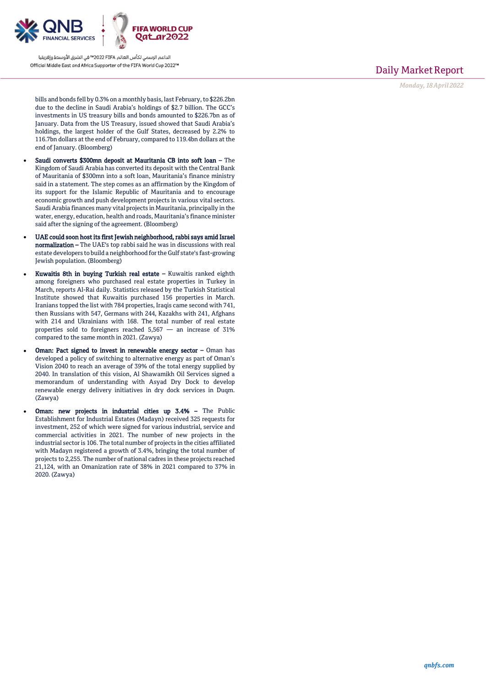

Daily Market Report

*Monday, 18 April 2022*

bills and bonds fell by 0.3% on a monthly basis, last February, to \$226.2bn due to the decline in Saudi Arabia's holdings of \$2.7 billion. The GCC's investments in US treasury bills and bonds amounted to \$226.7bn as of January. Data from the US Treasury, issued showed that Saudi Arabia's holdings, the largest holder of the Gulf States, decreased by 2.2% to 116.7bn dollars at the end of February, compared to 119.4bn dollars at the end of January. (Bloomberg)

- Saudi converts \$300mn deposit at Mauritania CB into soft loan The Kingdom of Saudi Arabia has converted its deposit with the Central Bank of Mauritania of \$300mn into a soft loan, Mauritania's finance ministry said in a statement. The step comes as an affirmation by the Kingdom of its support for the Islamic Republic of Mauritania and to encourage economic growth and push development projects in various vital sectors. Saudi Arabia finances many vital projects in Mauritania, principally in the water, energy, education, health and roads, Mauritania's finance minister said after the signing of the agreement. (Bloomberg)
- UAE could soon host its first Jewish neighborhood, rabbi says amid Israel normalization – The UAE's top rabbi said he was in discussions with real estate developers to build a neighborhood for the Gulf state's fast-growing Jewish population. (Bloomberg)
- Kuwaitis 8th in buying Turkish real estate Kuwaitis ranked eighth among foreigners who purchased real estate properties in Turkey in March, reports Al-Rai daily. Statistics released by the Turkish Statistical Institute showed that Kuwaitis purchased 156 properties in March. Iranians topped the list with 784 properties, Iraqis came second with 741, then Russians with 547, Germans with 244, Kazakhs with 241, Afghans with 214 and Ukrainians with 168. The total number of real estate properties sold to foreigners reached  $5,567$  — an increase of  $31\%$ compared to the same month in 2021. (Zawya)
- Oman: Pact signed to invest in renewable energy sector Oman has developed a policy of switching to alternative energy as part of Oman's Vision 2040 to reach an average of 39% of the total energy supplied by 2040. In translation of this vision, Al Shawamikh Oil Services signed a memorandum of understanding with Asyad Dry Dock to develop renewable energy delivery initiatives in dry dock services in Duqm. (Zawya)
- Oman: new projects in industrial cities up 3.4% The Public Establishment for Industrial Estates (Madayn) received 325 requests for investment, 252 of which were signed for various industrial, service and commercial activities in 2021. The number of new projects in the industrial sector is 106. The total number of projects in the cities affiliated with Madayn registered a growth of 3.4%, bringing the total number of projects to 2,255. The number of national cadres in these projects reached 21,124, with an Omanization rate of 38% in 2021 compared to 37% in 2020. (Zawya)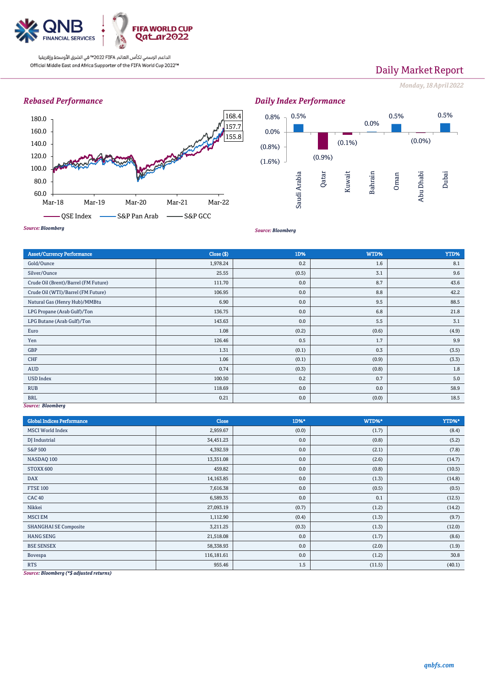

# Daily Market Report

*Monday, 18 April 2022*

## *Rebased Performance*





*Source: Bloomberg*

| <b>Asset/Currency Performance</b>    | Close ( \$) | 1D%   | WTD%  | YTD%  |
|--------------------------------------|-------------|-------|-------|-------|
| Gold/Ounce                           | 1,978.24    | 0.2   | 1.6   | 8.1   |
| Silver/Ounce                         | 25.55       | (0.5) | 3.1   | 9.6   |
| Crude Oil (Brent)/Barrel (FM Future) | 111.70      | 0.0   | 8.7   | 43.6  |
| Crude Oil (WTI)/Barrel (FM Future)   | 106.95      | 0.0   | 8.8   | 42.2  |
| Natural Gas (Henry Hub)/MMBtu        | 6.90        | 0.0   | 9.5   | 88.5  |
| LPG Propane (Arab Gulf)/Ton          | 136.75      | 0.0   | 6.8   | 21.8  |
| LPG Butane (Arab Gulf)/Ton           | 143.63      | 0.0   | 5.5   | 3.1   |
| Euro                                 | 1.08        | (0.2) | (0.6) | (4.9) |
| Yen                                  | 126.46      | 0.5   | 1.7   | 9.9   |
| GBP                                  | 1.31        | (0.1) | 0.3   | (3.5) |
| CHF                                  | 1.06        | (0.1) | (0.9) | (3.3) |
| <b>AUD</b>                           | 0.74        | (0.3) | (0.8) | 1.8   |
| <b>USD Index</b>                     | 100.50      | 0.2   | 0.7   | 5.0   |
| <b>RUB</b>                           | 118.69      | 0.0   | 0.0   | 58.9  |
| <b>BRL</b><br>Course Planmhorn       | 0.21        | 0.0   | (0.0) | 18.5  |

*Source: Bloomberg*

| <b>Global Indices Performance</b> | Close      | 1D%*  | WTD%*  | YTD%*  |
|-----------------------------------|------------|-------|--------|--------|
| <b>MSCI</b> World Index           | 2,959.67   | (0.0) | (1.7)  | (8.4)  |
| DJ Industrial                     | 34,451.23  | 0.0   | (0.8)  | (5.2)  |
| S&P 500                           | 4,392.59   | 0.0   | (2.1)  | (7.8)  |
| NASDAQ 100                        | 13,351.08  | 0.0   | (2.6)  | (14.7) |
| STOXX 600                         | 459.82     | 0.0   | (0.8)  | (10.5) |
| <b>DAX</b>                        | 14,163.85  | 0.0   | (1.3)  | (14.8) |
| <b>FTSE 100</b>                   | 7,616.38   | 0.0   | (0.5)  | (0.5)  |
| <b>CAC 40</b>                     | 6,589.35   | 0.0   | 0.1    | (12.5) |
| Nikkei                            | 27,093.19  | (0.7) | (1.2)  | (14.2) |
| <b>MSCI EM</b>                    | 1,112.90   | (0.4) | (1.3)  | (9.7)  |
| <b>SHANGHAI SE Composite</b>      | 3,211.25   | (0.3) | (1.3)  | (12.0) |
| <b>HANG SENG</b>                  | 21,518.08  | 0.0   | (1.7)  | (8.6)  |
| <b>BSE SENSEX</b>                 | 58,338.93  | 0.0   | (2.0)  | (1.9)  |
| Bovespa                           | 116,181.61 | 0.0   | (1.2)  | 30.8   |
| <b>RTS</b>                        | 955.46     | 1.5   | (11.5) | (40.1) |

*Source: Bloomberg (\*\$ adjusted returns)*